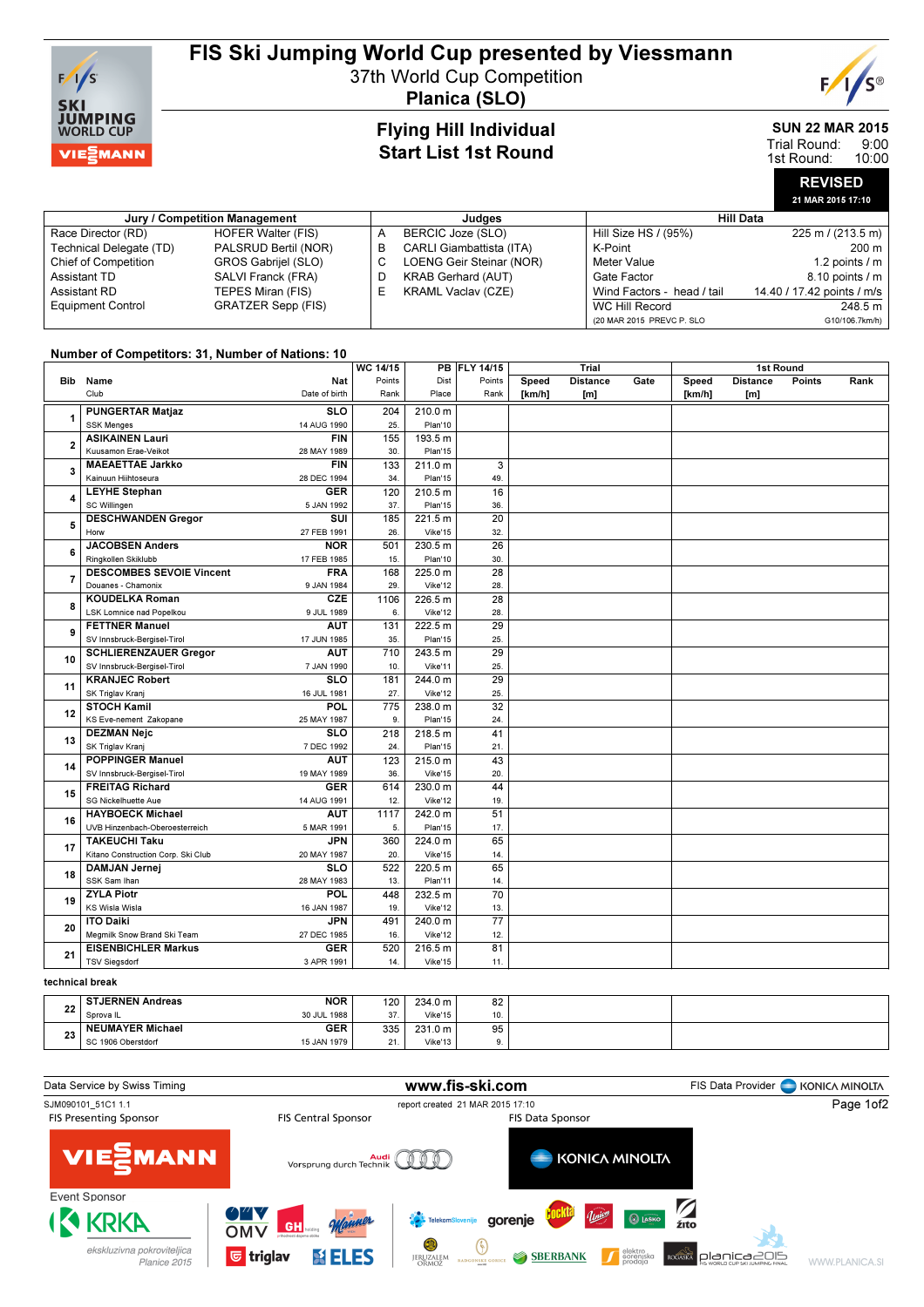

## FIS Ski Jumping World Cup presented by Viessmann

37th World Cup Competition



Planica (SLO)

## Flying Hill Individual Start List 1st Round

#### SUN 22 MAR 2015 9:00 Trial Round:

10:00 1st Round:

|  | <b>REVISED</b>    |  |
|--|-------------------|--|
|  | 21 MAR 2015 17:10 |  |

| Jury / Competition Management |                      |    | Judaes                          | <b>Hill Data</b>           |                             |  |  |
|-------------------------------|----------------------|----|---------------------------------|----------------------------|-----------------------------|--|--|
| Race Director (RD)            | HOFER Walter (FIS)   | А  | BERCIC Joze (SLO)               | Hill Size HS / (95%)       | $225 \text{ m}$ / (213.5 m) |  |  |
| Technical Delegate (TD)       | PALSRUD Bertil (NOR) | в  | <b>CARLI Giambattista (ITA)</b> | K-Point                    | 200 m                       |  |  |
| <b>Chief of Competition</b>   | GROS Gabrijel (SLO)  |    | LOENG Geir Steinar (NOR)        | Meter Value                | 1.2 points $/m$             |  |  |
| Assistant TD                  | SALVI Franck (FRA)   | D  | <b>KRAB Gerhard (AUT)</b>       | Gate Factor                | $8.10$ points $/m$          |  |  |
| Assistant RD                  | TEPES Miran (FIS)    | ь. | <b>KRAML Vaclav (CZE)</b>       | Wind Factors - head / tail | 14.40 / 17.42 points / m/s  |  |  |
| <b>Equipment Control</b>      | GRATZER Sepp (FIS)   |    |                                 | WC Hill Record             | 248.5 m                     |  |  |
|                               |                      |    |                                 | (20 MAR 2015 PREVC P. SLO  | G10/106.7km/h)              |  |  |

### Number of Competitors: 31, Number of Nations: 10

|                 |                                                   | WC 14/15 |         | PB FLY 14/15    | Trial  |                 | 1st Round |        |                 |        |      |
|-----------------|---------------------------------------------------|----------|---------|-----------------|--------|-----------------|-----------|--------|-----------------|--------|------|
|                 | <b>Nat</b><br>Bib Name                            | Points   | Dist    | Points          | Speed  | <b>Distance</b> | Gate      | Speed  | <b>Distance</b> | Points | Rank |
|                 | Club<br>Date of birth                             | Rank     | Place   | Rank            | [km/h] | [m]             |           | [km/h] | [ml]            |        |      |
|                 | <b>PUNGERTAR Matjaz</b><br><b>SLO</b>             | 204      | 210.0 m |                 |        |                 |           |        |                 |        |      |
| 1               | <b>SSK Menges</b><br>14 AUG 1990                  | 25       | Plan'10 |                 |        |                 |           |        |                 |        |      |
|                 | <b>FIN</b><br><b>ASIKAINEN Lauri</b>              | 155      | 193.5 m |                 |        |                 |           |        |                 |        |      |
| $\overline{2}$  | Kuusamon Erae-Veikot<br>28 MAY 1989               | 30.      | Plan'15 |                 |        |                 |           |        |                 |        |      |
|                 | <b>MAEAETTAE Jarkko</b><br><b>FIN</b>             | 133      | 211.0 m | 3               |        |                 |           |        |                 |        |      |
| 3               | Kainuun Hiihtoseura<br>28 DEC 1994                | 34.      | Plan'15 | 49.             |        |                 |           |        |                 |        |      |
|                 | <b>LEYHE Stephan</b><br><b>GER</b>                | 120      | 210.5 m | 16              |        |                 |           |        |                 |        |      |
| 4               | SC Willingen<br>5 JAN 1992                        | 37.      | Plan'15 | 36.             |        |                 |           |        |                 |        |      |
|                 | <b>DESCHWANDEN Gregor</b><br>SUI                  | 185      | 221.5 m | 20              |        |                 |           |        |                 |        |      |
| 5               | 27 FEB 1991<br>Horw                               | 26       | Vike'15 | 32.             |        |                 |           |        |                 |        |      |
|                 | <b>JACOBSEN Anders</b><br><b>NOR</b>              | 501      | 230.5 m | $\overline{26}$ |        |                 |           |        |                 |        |      |
| 6               | Ringkollen Skiklubb<br>17 FEB 1985                | 15.      | Plan'10 | 30.             |        |                 |           |        |                 |        |      |
| $\overline{7}$  | <b>DESCOMBES SEVOIE Vincent</b><br><b>FRA</b>     | 168      | 225.0 m | $\overline{28}$ |        |                 |           |        |                 |        |      |
|                 | Douanes - Chamonix<br>9 JAN 1984                  | 29.      | Vike'12 | 28.             |        |                 |           |        |                 |        |      |
| 8               | <b>CZE</b><br><b>KOUDELKA Roman</b>               | 1106     | 226.5 m | 28              |        |                 |           |        |                 |        |      |
|                 | LSK Lomnice nad Popelkou<br>9 JUL 1989            | 6.       | Vike'12 | 28.             |        |                 |           |        |                 |        |      |
| 9               | <b>FETTNER Manuel</b><br><b>AUT</b>               | 131      | 222.5 m | 29              |        |                 |           |        |                 |        |      |
|                 | SV Innsbruck-Bergisel-Tirol<br>17 JUN 1985        | 35.      | Plan'15 | 25.             |        |                 |           |        |                 |        |      |
| 10              | <b>SCHLIERENZAUER Gregor</b><br><b>AUT</b>        | 710      | 243.5 m | 29              |        |                 |           |        |                 |        |      |
|                 | SV Innsbruck-Bergisel-Tirol<br>7 JAN 1990         | 10       | Vike'11 | 25.             |        |                 |           |        |                 |        |      |
| 11              | <b>SLO</b><br><b>KRANJEC Robert</b>               | 181      | 244.0 m | 29              |        |                 |           |        |                 |        |      |
|                 | SK Triglav Kranj<br>16 JUL 1981                   | 27.      | Vike'12 | 25.             |        |                 |           |        |                 |        |      |
| 12              | <b>STOCH Kamil</b><br>POL                         | 775      | 238.0 m | $\overline{32}$ |        |                 |           |        |                 |        |      |
|                 | KS Eve-nement Zakopane<br>25 MAY 1987             | 9.       | Plan'15 | 24.             |        |                 |           |        |                 |        |      |
| 13              | <b>DEZMAN Nejc</b><br><b>SLO</b>                  | 218      | 218.5 m | 41              |        |                 |           |        |                 |        |      |
|                 | SK Triglav Kranj<br>7 DEC 1992                    | 24.      | Plan'15 | 21.             |        |                 |           |        |                 |        |      |
| 14              | <b>POPPINGER Manuel</b><br><b>AUT</b>             | 123      | 215.0 m | 43              |        |                 |           |        |                 |        |      |
|                 | SV Innsbruck-Bergisel-Tirol<br>19 MAY 1989        | 36.      | Vike'15 | 20.             |        |                 |           |        |                 |        |      |
| 15              | <b>FREITAG Richard</b><br><b>GER</b>              | 614      | 230.0 m | 44              |        |                 |           |        |                 |        |      |
|                 | SG Nickelhuette Aue<br>14 AUG 1991                | 12.      | Vike'12 | 19.             |        |                 |           |        |                 |        |      |
| 16              | <b>HAYBOECK Michael</b><br><b>AUT</b>             | 1117     | 242.0 m | 51              |        |                 |           |        |                 |        |      |
|                 | UVB Hinzenbach-Oberoesterreich<br>5 MAR 1991      | 5.       | Plan'15 | 17.             |        |                 |           |        |                 |        |      |
| 17              | <b>TAKEUCHI Taku</b><br><b>JPN</b>                | 360      | 224.0 m | 65              |        |                 |           |        |                 |        |      |
|                 | Kitano Construction Corp. Ski Club<br>20 MAY 1987 | 20.      | Vike'15 | 14.             |        |                 |           |        |                 |        |      |
| 18              | <b>DAMJAN Jernej</b><br><b>SLO</b>                | 522      | 220.5 m | 65              |        |                 |           |        |                 |        |      |
|                 | SSK Sam Ihan<br>28 MAY 1983                       | 13.      | Plan'11 | 14.             |        |                 |           |        |                 |        |      |
| 19              | <b>ZYLA Piotr</b><br>POL                          | 448      | 232.5 m | 70              |        |                 |           |        |                 |        |      |
|                 | KS Wisla Wisla<br>16 JAN 1987                     | 19.      | Vike'12 | 13.             |        |                 |           |        |                 |        |      |
| 20              | <b>JPN</b><br><b>ITO Daiki</b>                    | 491      | 240.0 m | $\overline{77}$ |        |                 |           |        |                 |        |      |
|                 | Megmilk Snow Brand Ski Team<br>27 DEC 1985        | 16.      | Vike'12 | 12.             |        |                 |           |        |                 |        |      |
| 21              | <b>GER</b><br><b>EISENBICHLER Markus</b>          | 520      | 216.5 m | 81              |        |                 |           |        |                 |        |      |
|                 | <b>TSV Siegsdorf</b><br>3 APR 1991                | 14.      | Vike'15 | 11.             |        |                 |           |        |                 |        |      |
| technical break |                                                   |          |         |                 |        |                 |           |        |                 |        |      |

| o o<br>22 | <b>STJERNEN Andreas</b> | <b>NOR</b>  | 120 | 234.0 m | 82 |  |
|-----------|-------------------------|-------------|-----|---------|----|--|
|           | Sprova <sub>IL</sub>    | 30 JUL 1988 | 37. | Vike'15 |    |  |
| n a<br>دے | <b>NEUMAYER Michael</b> | <b>GER</b>  | 335 | 231.0 m | 95 |  |
|           | SC 1906 Oberstdorf      | 15 JAN 1979 | 21. | Vike'13 |    |  |